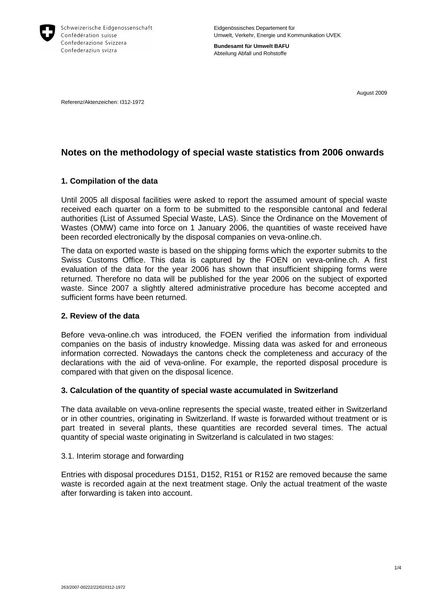

**Bundesamt für Umwelt BAFU** Abteilung Abfall und Rohstoffe

August 2009

Referenz/Aktenzeichen: I312-1972

# **Notes on the methodology of special waste statistics from 2006 onwards**

# **1. Compilation of the data**

Until 2005 all disposal facilities were asked to report the assumed amount of special waste received each quarter on a form to be submitted to the responsible cantonal and federal authorities (List of Assumed Special Waste, LAS). Since the Ordinance on the Movement of Wastes (OMW) came into force on 1 January 2006, the quantities of waste received have been recorded electronically by the disposal companies on veva-online.ch.

The data on exported waste is based on the shipping forms which the exporter submits to the Swiss Customs Office. This data is captured by the FOEN on veva-online.ch. A first evaluation of the data for the year 2006 has shown that insufficient shipping forms were returned. Therefore no data will be published for the year 2006 on the subject of exported waste. Since 2007 a slightly altered administrative procedure has become accepted and sufficient forms have been returned.

# **2. Review of the data**

Before veva-online.ch was introduced, the FOEN verified the information from individual companies on the basis of industry knowledge. Missing data was asked for and erroneous information corrected. Nowadays the cantons check the completeness and accuracy of the declarations with the aid of veva-online. For example, the reported disposal procedure is compared with that given on the disposal licence.

# **3. Calculation of the quantity of special waste accumulated in Switzerland**

The data available on veva-online represents the special waste, treated either in Switzerland or in other countries, originating in Switzerland. If waste is forwarded without treatment or is part treated in several plants, these quantities are recorded several times. The actual quantity of special waste originating in Switzerland is calculated in two stages:

### 3.1. Interim storage and forwarding

Entries with disposal procedures D151, D152, R151 or R152 are removed because the same waste is recorded again at the next treatment stage. Only the actual treatment of the waste after forwarding is taken into account.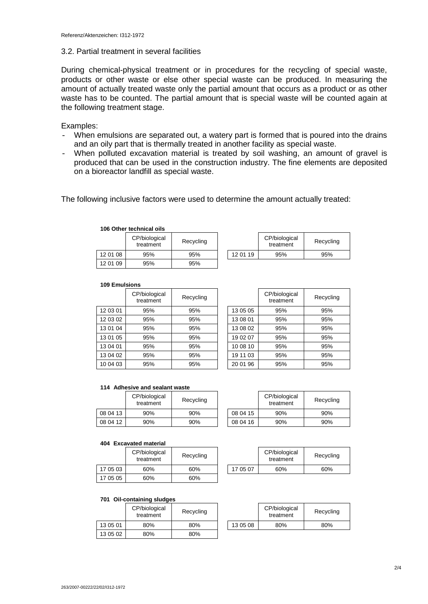### 3.2. Partial treatment in several facilities

During chemical-physical treatment or in procedures for the recycling of special waste, products or other waste or else other special waste can be produced. In measuring the amount of actually treated waste only the partial amount that occurs as a product or as other waste has to be counted. The partial amount that is special waste will be counted again at the following treatment stage.

### Examples:

- When emulsions are separated out, a watery part is formed that is poured into the drains and an oily part that is thermally treated in another facility as special waste.
- When polluted excavation material is treated by soil washing, an amount of gravel is produced that can be used in the construction industry. The fine elements are deposited on a bioreactor landfill as special waste.

The following inclusive factors were used to determine the amount actually treated:

|          | 106 Other technical oils   |           |  |          |                            |        |
|----------|----------------------------|-----------|--|----------|----------------------------|--------|
|          | CP/biological<br>treatment | Recycling |  |          | CP/biological<br>treatment | Recycl |
| 12 01 08 | 95%                        | 95%       |  | 12 01 19 | 95%                        | 95%    |
| 12 01 09 | 95%                        | 95%       |  |          |                            |        |

|          | CP/biological<br>treatment | Recycling |
|----------|----------------------------|-----------|
| 12 01 19 | 95%                        | 95%       |

#### **109 Emulsions**

|          | CP/biological<br>treatment | Recycling |          | CP/biological<br>treatment | Recycl |
|----------|----------------------------|-----------|----------|----------------------------|--------|
| 12 03 01 | 95%                        | 95%       | 13 05 05 | 95%                        | 95%    |
| 12 03 02 | 95%                        | 95%       | 13 08 01 | 95%                        | 95%    |
| 13 01 04 | 95%                        | 95%       | 13 08 02 | 95%                        | 95%    |
| 13 01 05 | 95%                        | 95%       | 19 02 07 | 95%                        | 95%    |
| 13 04 01 | 95%                        | 95%       | 10 08 10 | 95%                        | 95%    |
| 13 04 02 | 95%                        | 95%       | 19 11 03 | 95%                        | 95%    |
| 10 04 03 | 95%                        | 95%       | 20 01 96 | 95%                        | 95%    |

|          | CP/biological<br>treatment | Recycling |
|----------|----------------------------|-----------|
| 13 05 05 | 95%                        | 95%       |
| 13 08 01 | 95%                        | 95%       |
| 13 08 02 | 95%                        | 95%       |
| 19 02 07 | 95%                        | 95%       |
| 10 08 10 | 95%                        | 95%       |
| 19 11 03 | 95%                        | 95%       |
| 20 01 96 | 95%                        | 95%       |

#### **114 Adhesive and sealant waste**

|          | CP/biological<br>treatment | Recycling |          | CP/biological<br>treatment | Recycl |
|----------|----------------------------|-----------|----------|----------------------------|--------|
| 08 04 13 | 90%                        | 90%       | 08 04 15 | 90%                        | 90%    |
| 08 04 12 | 90%                        | 90%       | 08 04 16 | 90%                        | 90%    |

|          | CP/biological<br>treatment | Recycling |
|----------|----------------------------|-----------|
| 08 04 15 | 90%                        | 90%       |
| 08 04 16 | 90%                        | 90%       |

#### **404 Excavated material**

|          | CP/biological<br>treatment | Recycling |          | CP/biological<br>treatment | Recycl |
|----------|----------------------------|-----------|----------|----------------------------|--------|
| 17 05 03 | 60%                        | 60%       | 17 05 07 | 60%                        | 60%    |
| 17 05 05 | 60%                        | 60%       |          |                            |        |

|          | CP/biological<br>treatment | Recycling |
|----------|----------------------------|-----------|
| 17 05 07 | 60%                        | 60%       |

#### **701 Oil-containing sludges**

|          | CP/biological<br>treatment | Recycling |          | CP/biological<br>treatment | Recycl |
|----------|----------------------------|-----------|----------|----------------------------|--------|
| 13 05 01 | 80%                        | 80%       | 13 05 08 | 80%                        | 80%    |
| 13 05 02 | 80%                        | 80%       |          |                            |        |

|          | CP/biological<br>treatment | Recycling |
|----------|----------------------------|-----------|
| 13 05 08 | 80%                        | 80%       |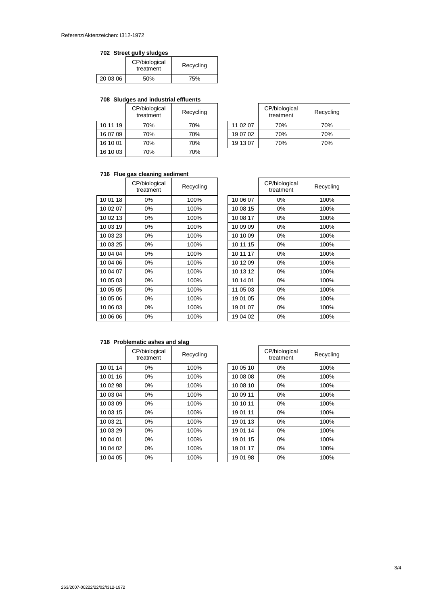### **702 Street gully sludges**

|          | CP/biological<br>treatment | Recycling |
|----------|----------------------------|-----------|
| 20 03 06 | 50%                        | 75%       |

### **708 Sludges and industrial effluents**

|          | CP/biological<br>treatment | Recycling |          | CP/biological<br>treatment | Recycl |
|----------|----------------------------|-----------|----------|----------------------------|--------|
| 10 11 19 | 70%                        | 70%       | 11 02 07 | 70%                        | 70%    |
| 16 07 09 | 70%                        | 70%       | 19 07 02 | 70%                        | 70%    |
| 16 10 01 | 70%                        | 70%       | 19 13 07 | 70%                        | 70%    |
| 16 10 03 | 70%                        | 70%       |          |                            |        |

|          | CP/biological<br>treatment | Recycling |
|----------|----------------------------|-----------|
| 11 02 07 | 70%                        | 70%       |
| 19 07 02 | 70%                        | 70%       |
| 19 13 07 | 70%                        | 70%       |

### **716 Flue gas cleaning sediment**

|          | CP/biological<br>treatment | Recycling |          | CP/biological<br>treatment | Recycli |
|----------|----------------------------|-----------|----------|----------------------------|---------|
| 10 01 18 | $0\%$                      | 100%      | 10 06 07 | 0%                         | 100%    |
| 10 02 07 | $0\%$                      | 100%      | 10 08 15 | 0%                         | 100%    |
| 10 02 13 | $0\%$                      | 100%      | 10 08 17 | 0%                         | 100%    |
| 10 03 19 | $0\%$                      | 100%      | 10 09 09 | 0%                         | 100%    |
| 10 03 23 | $0\%$                      | 100%      | 10 10 09 | 0%                         | 100%    |
| 10 03 25 | $0\%$                      | 100%      | 10 11 15 | 0%                         | 100%    |
| 10 04 04 | $0\%$                      | 100%      | 10 11 17 | 0%                         | 100%    |
| 10 04 06 | $0\%$                      | 100%      | 10 12 09 | 0%                         | 100%    |
| 10 04 07 | $0\%$                      | 100%      | 10 13 12 | 0%                         | 100%    |
| 10 05 03 | 0%                         | 100%      | 10 14 01 | 0%                         | 100%    |
| 10 05 05 | $0\%$                      | 100%      | 11 05 03 | 0%                         | 100%    |
| 10 05 06 | $0\%$                      | 100%      | 19 01 05 | 0%                         | 100%    |
| 10 06 03 | 0%                         | 100%      | 19 01 07 | 0%                         | 100%    |
| 10 06 06 | $0\%$                      | 100%      | 19 04 02 | 0%                         | 100%    |

|          | CP/biological<br>treatment | Recycling |
|----------|----------------------------|-----------|
| 10 06 07 | 0%                         | 100%      |
| 10 08 15 | 0%                         | 100%      |
| 10 08 17 | 0%                         | 100%      |
| 10 09 09 | 0%                         | 100%      |
| 10 10 09 | 0%                         | 100%      |
| 10 11 15 | $0\%$                      | 100%      |
| 10 11 17 | 0%                         | 100%      |
| 10 12 09 | 0%                         | 100%      |
| 10 13 12 | 0%                         | 100%      |
| 10 14 01 | 0%                         | 100%      |
| 11 05 03 | 0%                         | 100%      |
| 19 01 05 | 0%                         | 100%      |
| 19 01 07 | 0%                         | 100%      |
| 19 04 02 | 0%                         | 100%      |

# **718 Problematic ashes and slag**

|          | CP/biological<br>treatment | Recycling |          | CP/biological<br>treatment | Recycli |
|----------|----------------------------|-----------|----------|----------------------------|---------|
| 10 01 14 | $0\%$                      | 100%      | 10 05 10 | $0\%$                      | 100%    |
| 10 01 16 | $0\%$                      | 100%      | 10 08 08 | $0\%$                      | 100%    |
| 10 02 98 | $0\%$                      | 100%      | 10 08 10 | $0\%$                      | 100%    |
| 10 03 04 | $0\%$                      | 100%      | 10 09 11 | $0\%$                      | 100%    |
| 10 03 09 | $0\%$                      | 100%      | 10 10 11 | $0\%$                      | 100%    |
| 10 03 15 | $0\%$                      | 100%      | 19 01 11 | $0\%$                      | 100%    |
| 10 03 21 | $0\%$                      | 100%      | 19 01 13 | $0\%$                      | 100%    |
| 10 03 29 | $0\%$                      | 100%      | 19 01 14 | $0\%$                      | 100%    |
| 10 04 01 | $0\%$                      | 100%      | 19 01 15 | $0\%$                      | 100%    |
| 10 04 02 | $0\%$                      | 100%      | 19 01 17 | $0\%$                      | 100%    |
| 10 04 05 | 0%                         | 100%      | 19 01 98 | 0%                         | 100%    |

|          | CP/biological<br>treatment | Recycling |
|----------|----------------------------|-----------|
| 10 05 10 | 0%                         | 100%      |
| 10 08 08 | 0%                         | 100%      |
| 10 08 10 | $0\%$                      | 100%      |
| 10 09 11 | 0%                         | 100%      |
| 10 10 11 | $0\%$                      | 100%      |
| 19 01 11 | 0%                         | 100%      |
| 19 01 13 | 0%                         | 100%      |
| 19 01 14 | $0\%$                      | 100%      |
| 19 01 15 | $0\%$                      | 100%      |
| 19 01 17 | 0%                         | 100%      |
| 19 01 98 | 0%                         | 100%      |